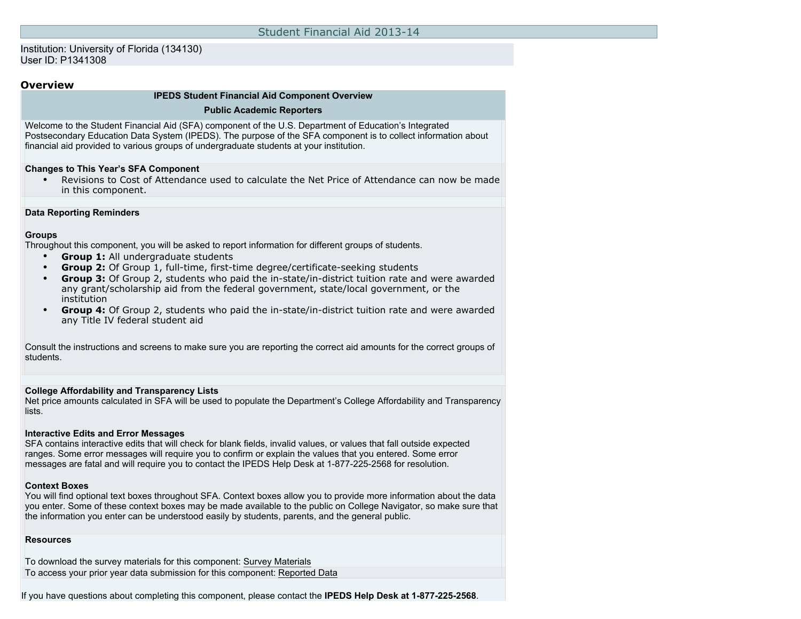## Institution: University of Florida (134130) User ID: P1341308

### **Overview**

#### **IPEDS Student Financial Aid Component Overview**

#### **Public Academic Reporters**

Welcome to the Student Financial Aid (SFA) component of the U.S. Department of Education's Integrated Postsecondary Education Data System (IPEDS). The purpose of the SFA component is to collect information about financial aid provided to various groups of undergraduate students at your institution.

#### **Changes to This Year's SFA Component**

• Revisions to Cost of Attendance used to calculate the Net Price of Attendance can now be made in this component.

#### **Data Reporting Reminders**

#### **Groups**

Throughout this component, you will be asked to report information for different groups of students.

- **Group 1:** All undergraduate students
- **Group 2:** Of Group 1, full-time, first-time degree/certificate-seeking students
- **Group 3:** Of Group 2, students who paid the in-state/in-district tuition rate and were awarded any grant/scholarship aid from the federal government, state/local government, or the institution
- **Group 4:** Of Group 2, students who paid the in-state/in-district tuition rate and were awarded any Title IV federal student aid

Consult the instructions and screens to make sure you are reporting the correct aid amounts for the correct groups of students.

### **College Affordability and Transparency Lists**

Net price amounts calculated in SFA will be used to populate the Department's College Affordability and Transparency lists.

#### **Interactive Edits and Error Messages**

SFA contains interactive edits that will check for blank fields, invalid values, or values that fall outside expected ranges. Some error messages will require you to confirm or explain the values that you entered. Some error messages are fatal and will require you to contact the IPEDS Help Desk at 1-877-225-2568 for resolution.

#### **Context Boxes**

You will find optional text boxes throughout SFA. Context boxes allow you to provide more information about the data you enter. Some of these context boxes may be made available to the public on College Navigator, so make sure that the information you enter can be understood easily by students, parents, and the general public.

#### **Resources**

To download the survey materials for this component: [Survey Materials](https://surveys.nces.ed.gov/ipeds/VisIndex.aspx) To access your prior year data submission for this component: [Reported Data](https://surveys.nces.ed.gov/IPEDS/PriorYearDataRedirect.aspx?survey_id=7)

If you have questions about completing this component, please contact the **IPEDS Help Desk at 1-877-225-2568**.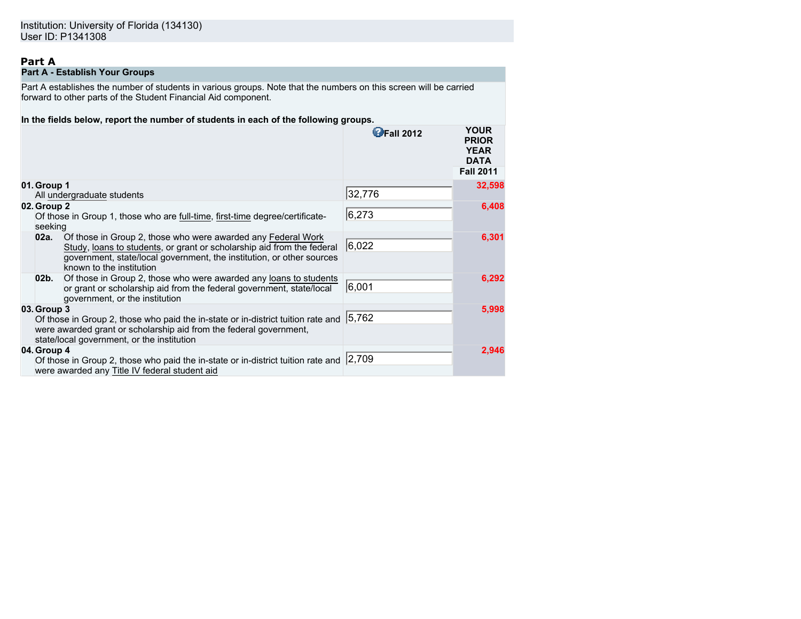# **Part A**

# **Part A - Establish Your Groups**

Part A establishes the number of students in various groups. Note that the numbers on this screen will be carried forward to other parts of the Student Financial Aid component.

## **In the fields below, report the number of students in each of the following groups.**

|                        |                                                                                                                                                                                                                                             | <b>OFall 2012</b> | <b>YOUR</b><br><b>PRIOR</b><br><b>YEAR</b><br><b>DATA</b><br><b>Fall 2011</b> |
|------------------------|---------------------------------------------------------------------------------------------------------------------------------------------------------------------------------------------------------------------------------------------|-------------------|-------------------------------------------------------------------------------|
| 01. Group 1            |                                                                                                                                                                                                                                             |                   | 32,598                                                                        |
|                        | All undergraduate students                                                                                                                                                                                                                  | 32,776            |                                                                               |
| 02. Group 2<br>seeking | Of those in Group 1, those who are full-time, first-time degree/certificate-                                                                                                                                                                | 6,273             | 6,408                                                                         |
| 02a.                   | Of those in Group 2, those who were awarded any Federal Work<br>Study, loans to students, or grant or scholarship aid from the federal<br>government, state/local government, the institution, or other sources<br>known to the institution | 6,022             | 6,301                                                                         |
| 02b.                   | Of those in Group 2, those who were awarded any loans to students<br>or grant or scholarship aid from the federal government, state/local<br>government, or the institution                                                                 | 6,001             | 6,292                                                                         |
| 03. Group 3            | Of those in Group 2, those who paid the in-state or in-district tuition rate and 5,762<br>were awarded grant or scholarship aid from the federal government,<br>state/local government, or the institution                                  |                   | 5,998                                                                         |
| 04. Group 4            | Of those in Group 2, those who paid the in-state or in-district tuition rate and 2,709<br>were awarded any Title IV federal student aid                                                                                                     |                   | 2,946                                                                         |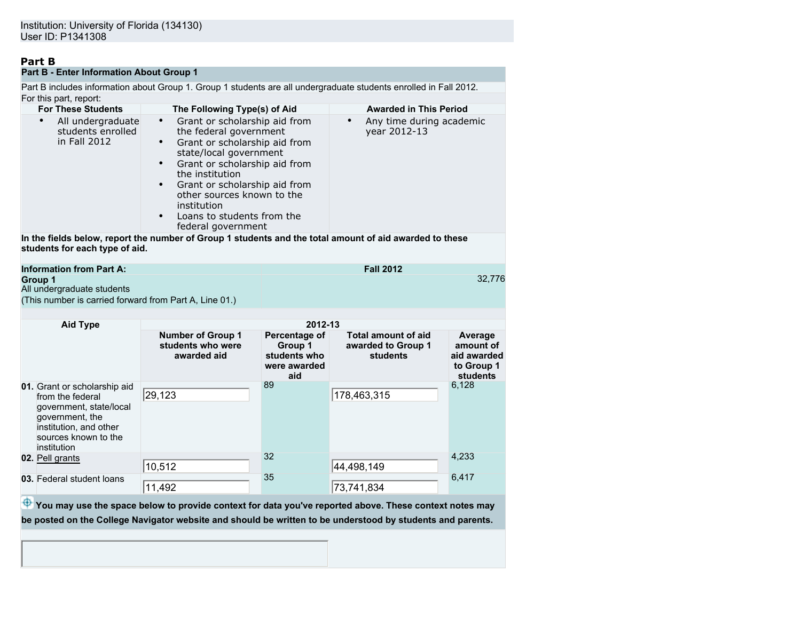# **Part B**

### **Part B - Enter Information About Group 1**

Part B includes information about Group 1. Group 1 students are all undergraduate students enrolled in Fall 2012. For this part, report:

| <b>For These Students</b>                              | The Following Type(s) of Aid                                                                                                                                                                                                                                                                                                                                              | <b>Awarded in This Period</b>                         |
|--------------------------------------------------------|---------------------------------------------------------------------------------------------------------------------------------------------------------------------------------------------------------------------------------------------------------------------------------------------------------------------------------------------------------------------------|-------------------------------------------------------|
| All undergraduate<br>students enrolled<br>in Fall 2012 | Grant or scholarship aid from<br>$\bullet$<br>the federal government<br>Grant or scholarship aid from<br>$\bullet$<br>state/local government<br>Grant or scholarship aid from<br>$\bullet$<br>the institution<br>Grant or scholarship aid from<br>$\bullet$<br>other sources known to the<br>institution<br>Loans to students from the<br>$\bullet$<br>federal government | Any time during academic<br>$\bullet$<br>year 2012-13 |

**In the fields below, report the number of Group 1 students and the total amount of aid awarded to these students for each type of aid.**

| <b>Information from Part A:</b><br>Group 1<br>All undergraduate students<br>(This number is carried forward from Part A, Line 01.) |                                                                                                                                                                 |                                                              |                                                                 | <b>Fall 2012</b>                                             | 32,776                                                        |
|------------------------------------------------------------------------------------------------------------------------------------|-----------------------------------------------------------------------------------------------------------------------------------------------------------------|--------------------------------------------------------------|-----------------------------------------------------------------|--------------------------------------------------------------|---------------------------------------------------------------|
|                                                                                                                                    | <b>Aid Type</b>                                                                                                                                                 |                                                              | 2012-13                                                         |                                                              |                                                               |
|                                                                                                                                    |                                                                                                                                                                 | <b>Number of Group 1</b><br>students who were<br>awarded aid | Percentage of<br>Group 1<br>students who<br>were awarded<br>aid | <b>Total amount of aid</b><br>awarded to Group 1<br>students | Average<br>amount of<br>aid awarded<br>to Group 1<br>students |
|                                                                                                                                    | 01. Grant or scholarship aid<br>from the federal<br>government, state/local<br>government, the<br>institution, and other<br>sources known to the<br>institution | 29,123                                                       | 89                                                              | 178,463,315                                                  | 6,128                                                         |
|                                                                                                                                    | 02. Pell grants                                                                                                                                                 | 10,512                                                       | 32                                                              | 44,498,149                                                   | 4,233                                                         |
|                                                                                                                                    | 03. Federal student loans                                                                                                                                       | 11,492                                                       | 35                                                              | 73,741,834                                                   | 6,417                                                         |

**<sup>4</sup>** You may use the space below to provide context for data you've reported above. These context notes may **be posted on the College Navigator website and should be written to be understood by students and parents.**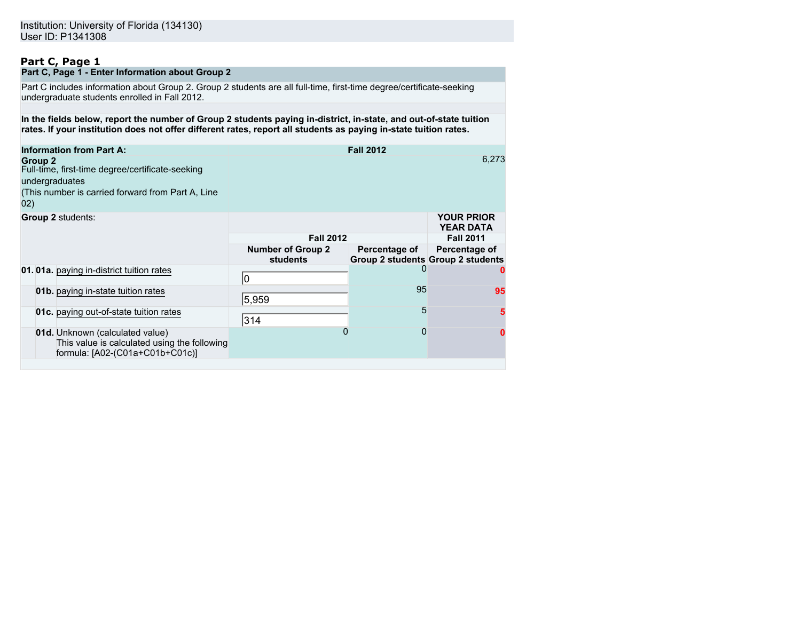### **Part C, Page 1 Part C, Page 1 - Enter Information about Group 2**

Part C includes information about Group 2. Group 2 students are all full-time, first-time degree/certificate-seeking undergraduate students enrolled in Fall 2012.

**In the fields below, report the number of Group 2 students paying in-district, in-state, and out-of-state tuition rates. If your institution does not offer different rates, report all students as paying in-state tuition rates.**

| <b>Information from Part A:</b><br>Group 2<br>Full-time, first-time degree/certificate-seeking<br>undergraduates<br>(This number is carried forward from Part A, Line<br>02) |                                      | <b>Fall 2012</b>                                   | 6,273                                                     |
|------------------------------------------------------------------------------------------------------------------------------------------------------------------------------|--------------------------------------|----------------------------------------------------|-----------------------------------------------------------|
| <b>Group 2 students:</b>                                                                                                                                                     | <b>Fall 2012</b>                     |                                                    | <b>YOUR PRIOR</b><br><b>YEAR DATA</b><br><b>Fall 2011</b> |
|                                                                                                                                                                              | <b>Number of Group 2</b><br>students | Percentage of<br>Group 2 students Group 2 students | Percentage of                                             |
| 01.01a. paying in-district tuition rates                                                                                                                                     | 10                                   |                                                    |                                                           |
| <b>01b.</b> paying in-state tuition rates                                                                                                                                    | 5,959                                | 95                                                 | 95                                                        |
| <b>01c.</b> paying out-of-state tuition rates                                                                                                                                | 314                                  | 5                                                  |                                                           |
| <b>01d.</b> Unknown (calculated value)<br>This value is calculated using the following<br>formula: [A02-(C01a+C01b+C01c)]                                                    |                                      | 0                                                  |                                                           |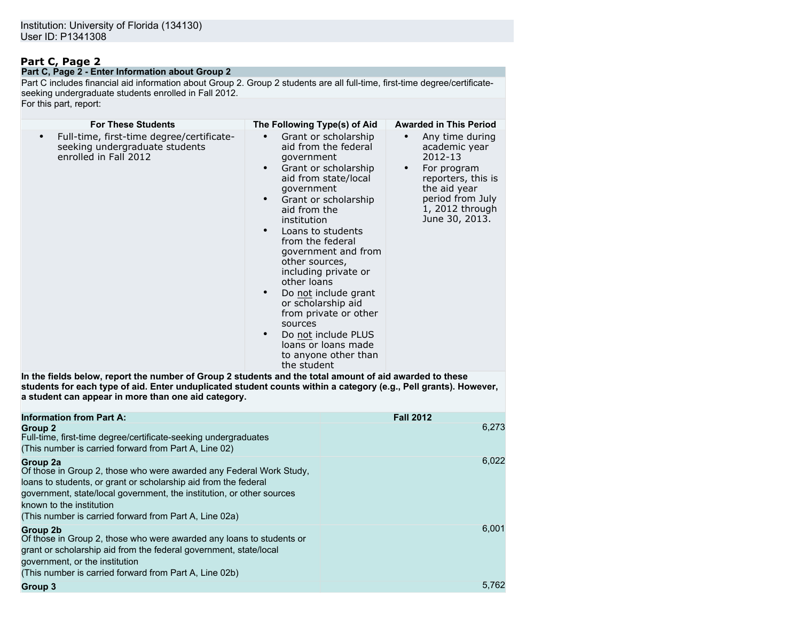# **Part C, Page 2**

#### **Part C, Page 2 - Enter Information about Group 2**

Part C includes financial aid information about Group 2. Group 2 students are all full-time, first-time degree/certificateseeking undergraduate students enrolled in Fall 2012. For this part, report:

| <b>For These Students</b>                                                                                                                                                                                                                                                          | The Following Type(s) of Aid                                                                                                                                                                                                                                                                                                                                                                                                                                                                                                                     | <b>Awarded in This Period</b>                                                                                                                                          |
|------------------------------------------------------------------------------------------------------------------------------------------------------------------------------------------------------------------------------------------------------------------------------------|--------------------------------------------------------------------------------------------------------------------------------------------------------------------------------------------------------------------------------------------------------------------------------------------------------------------------------------------------------------------------------------------------------------------------------------------------------------------------------------------------------------------------------------------------|------------------------------------------------------------------------------------------------------------------------------------------------------------------------|
| Full-time, first-time degree/certificate-<br>seeking undergraduate students<br>enrolled in Fall 2012                                                                                                                                                                               | Grant or scholarship<br>aid from the federal<br>qovernment<br>Grant or scholarship<br>$\bullet$<br>aid from state/local<br>government<br>Grant or scholarship<br>$\bullet$<br>aid from the<br>institution<br>Loans to students<br>$\bullet$<br>from the federal<br>government and from<br>other sources,<br>including private or<br>other loans<br>Do not include grant<br>$\bullet$<br>or scholarship aid<br>from private or other<br>sources<br>Do not include PLUS<br>$\bullet$<br>loans or loans made<br>to anyone other than<br>the student | Any time during<br>academic year<br>2012-13<br>For program<br>$\bullet$<br>reporters, this is<br>the aid year<br>period from July<br>1, 2012 through<br>June 30, 2013. |
| In the fields below, report the number of Group 2 students and the total amount of aid awarded to these<br>students for each type of aid. Enter unduplicated student counts within a category (e.g., Pell grants). However,<br>a student can appear in more than one aid category. |                                                                                                                                                                                                                                                                                                                                                                                                                                                                                                                                                  |                                                                                                                                                                        |
|                                                                                                                                                                                                                                                                                    |                                                                                                                                                                                                                                                                                                                                                                                                                                                                                                                                                  |                                                                                                                                                                        |

| <b>Information from Part A:</b>                                                                                                                                                                                                                                                                                   | <b>Fall 2012</b> |
|-------------------------------------------------------------------------------------------------------------------------------------------------------------------------------------------------------------------------------------------------------------------------------------------------------------------|------------------|
| Group 2<br>Full-time, first-time degree/certificate-seeking undergraduates<br>(This number is carried forward from Part A, Line 02)                                                                                                                                                                               | 6.273            |
|                                                                                                                                                                                                                                                                                                                   |                  |
| Group 2a<br>Of those in Group 2, those who were awarded any Federal Work Study,<br>loans to students, or grant or scholarship aid from the federal<br>government, state/local government, the institution, or other sources<br>known to the institution<br>(This number is carried forward from Part A, Line 02a) | 6.022            |
| Group 2b<br>Of those in Group 2, those who were awarded any loans to students or<br>grant or scholarship aid from the federal government, state/local<br>government, or the institution<br>(This number is carried forward from Part A, Line 02b)                                                                 | 6.001            |
| Group 3                                                                                                                                                                                                                                                                                                           | 5,762            |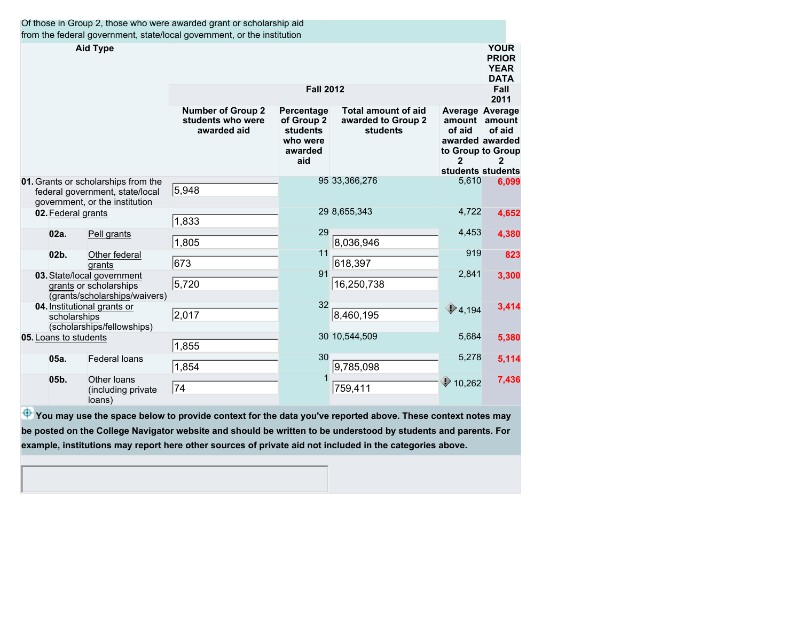|                                                                                                          |                       |                                                                                       | Of those in Group 2, those who were awarded grant or scholarship aid<br>from the federal government, state/local government, or the institution |                                                                           |                                                              |                                                                                         |                                                           |
|----------------------------------------------------------------------------------------------------------|-----------------------|---------------------------------------------------------------------------------------|-------------------------------------------------------------------------------------------------------------------------------------------------|---------------------------------------------------------------------------|--------------------------------------------------------------|-----------------------------------------------------------------------------------------|-----------------------------------------------------------|
| <b>Aid Type</b>                                                                                          |                       |                                                                                       |                                                                                                                                                 |                                                                           |                                                              |                                                                                         | <b>YOUR</b><br><b>PRIOR</b><br><b>YEAR</b><br><b>DATA</b> |
|                                                                                                          |                       |                                                                                       |                                                                                                                                                 | <b>Fall 2012</b>                                                          |                                                              |                                                                                         | Fall<br>2011                                              |
|                                                                                                          |                       |                                                                                       | <b>Number of Group 2</b><br>students who were<br>awarded aid                                                                                    | Percentage<br>of Group 2<br><b>students</b><br>who were<br>awarded<br>aid | <b>Total amount of aid</b><br>awarded to Group 2<br>students | <b>Average Average</b><br>amount<br>of aid<br>awarded awarded<br>to Group to Group<br>2 | amount<br>of aid<br>2                                     |
| 01. Grants or scholarships from the<br>federal government, state/local<br>government, or the institution |                       |                                                                                       | 5,948                                                                                                                                           |                                                                           | 95 33,366,276                                                | students students<br>5,610                                                              | 6,099                                                     |
|                                                                                                          | 02. Federal grants    |                                                                                       | 1,833                                                                                                                                           |                                                                           | 29 8,655,343                                                 | 4,722                                                                                   | 4,652                                                     |
|                                                                                                          | 02a.                  | Pell grants                                                                           | 1,805                                                                                                                                           | 29                                                                        | 8,036,946                                                    | 4,453                                                                                   | 4,380                                                     |
|                                                                                                          | 02 <sub>b</sub>       | Other federal<br>grants                                                               | 673                                                                                                                                             | 11                                                                        | 618,397                                                      | 919                                                                                     | 823                                                       |
|                                                                                                          |                       | 03. State/local government<br>grants or scholarships<br>(grants/scholarships/waivers) | 5,720                                                                                                                                           | 91                                                                        | 16,250,738                                                   | 2,841                                                                                   | 3,300                                                     |
|                                                                                                          | scholarships          | 04. Institutional grants or<br>(scholarships/fellowships)                             | 2,017                                                                                                                                           | 32                                                                        | 8,460,195                                                    | $\bigcirc$ 4,194                                                                        | 3,414                                                     |
|                                                                                                          | 05. Loans to students |                                                                                       | 1,855                                                                                                                                           |                                                                           | 30 10,544,509                                                | 5,684                                                                                   | 5,380                                                     |
|                                                                                                          | 05a.                  | Federal loans                                                                         | 1,854                                                                                                                                           | 30                                                                        | 9,785,098                                                    | 5,278                                                                                   | 5,114                                                     |
|                                                                                                          | 05b.                  | Other Ioans<br>(including private<br>loans)                                           | 74                                                                                                                                              |                                                                           | 759,411                                                      | $\blacktriangleright$ 10,262                                                            | 7,436                                                     |

 $\bigoplus$  You may use the space below to provide context for the data you've reported above. These context notes may **be posted on the College Navigator website and should be written to be understood by students and parents. For example, institutions may report here other sources of private aid not included in the categories above.**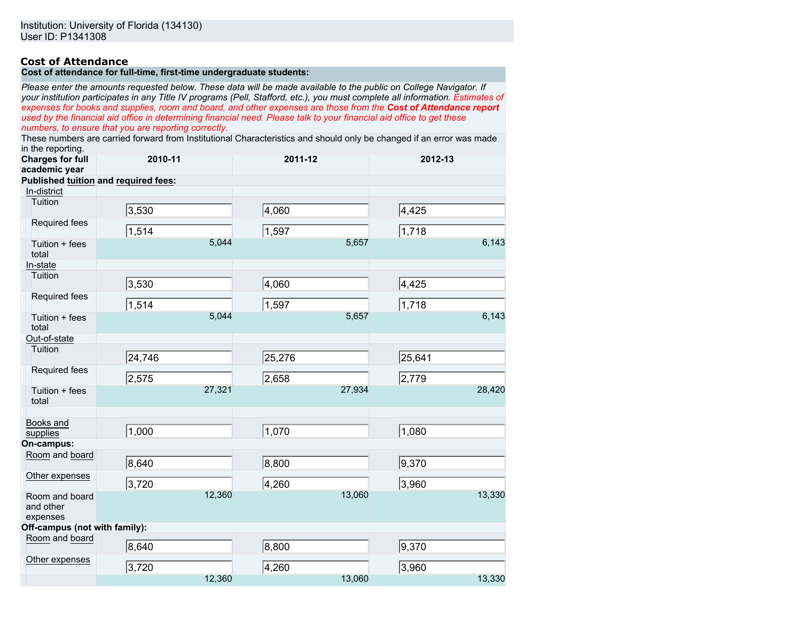## **Cost of Attendance**

### **Cost of attendance for full-time, first-time undergraduate students:**

*Please enter the amounts requested below. These data will be made available to the public on College Navigator. If your institution participates in any Title IV programs (Pell, Stafford, etc.), you must complete all information. Estimates of expenses for books and supplies, room and board, and other expenses are those from the Cost of Attendance report used by the financial aid office in determining financial need. Please talk to your financial aid office to get these numbers, to ensure that you are reporting correctly.*

These numbers are carried forward from Institutional Characteristics and should only be changed if an error was made in the reporting.

| יויי ייטאטי יייש.                        |                                             |                |                |
|------------------------------------------|---------------------------------------------|----------------|----------------|
| <b>Charges for full</b><br>academic year | 2010-11                                     | 2011-12        | 2012-13        |
|                                          | <b>Published tuition and required fees:</b> |                |                |
| In-district                              |                                             |                |                |
| Tuition                                  |                                             |                |                |
|                                          | 3,530                                       | 4,060          | 4,425          |
| Required fees                            |                                             |                |                |
|                                          | 1,514<br>5,044                              | 1,597<br>5,657 | 1,718<br>6,143 |
| Tuition + fees<br>total                  |                                             |                |                |
| In-state                                 |                                             |                |                |
| Tuition                                  | 3,530                                       | 4,060          | 4,425          |
| Required fees                            | 1,514                                       | 1,597          | 1,718          |
| Tuition + fees<br>total                  | 5,044                                       | 5,657          | 6,143          |
| Out-of-state                             |                                             |                |                |
| Tuition                                  | 24,746                                      | 25,276         | 25,641         |
| Required fees                            | 2,575                                       | 2,658          | 2,779          |
| Tuition + fees<br>total                  | 27,321                                      | 27,934         | 28,420         |
|                                          |                                             |                |                |
| Books and<br>supplies                    | 1,000                                       | 1,070          | 1,080          |
| On-campus:                               |                                             |                |                |
| Room and board                           |                                             |                |                |
|                                          | 8,640                                       | 8,800          | 9,370          |
| Other expenses                           | 3,720                                       | 4,260          | 3,960          |
| Room and board                           | 12,360                                      | 13,060         | 13,330         |
| and other<br>expenses                    |                                             |                |                |
| Off-campus (not with family):            |                                             |                |                |
| Room and board                           |                                             |                |                |
|                                          | 8,640                                       | 8,800          | 9,370          |
| Other expenses                           |                                             |                |                |
|                                          | 3,720                                       | 4,260          | 3,960          |
|                                          | 12,360                                      | 13,060         | 13,330         |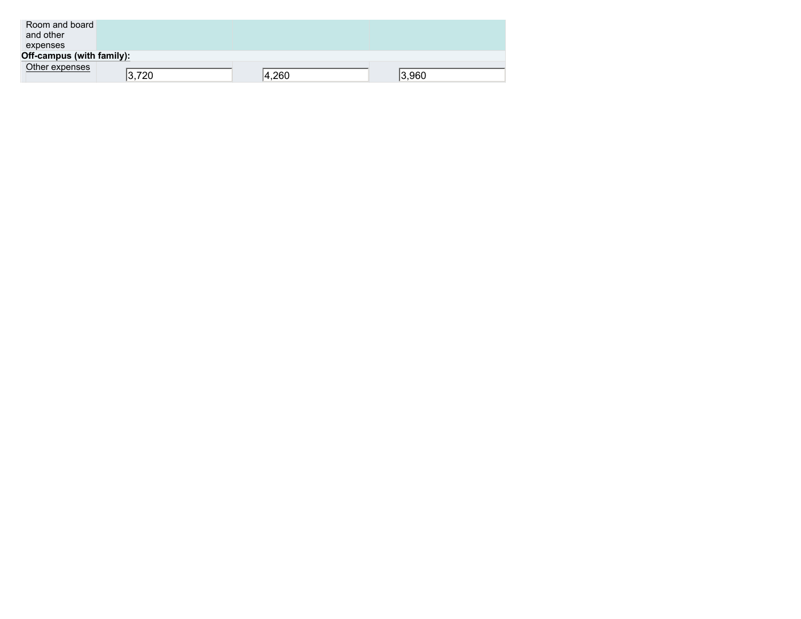| Room and board            |       |       |       |  |  |  |
|---------------------------|-------|-------|-------|--|--|--|
| and other                 |       |       |       |  |  |  |
| expenses                  |       |       |       |  |  |  |
| Off-campus (with family): |       |       |       |  |  |  |
| Other expenses            |       |       |       |  |  |  |
|                           | 3,720 | 4,260 | 3,960 |  |  |  |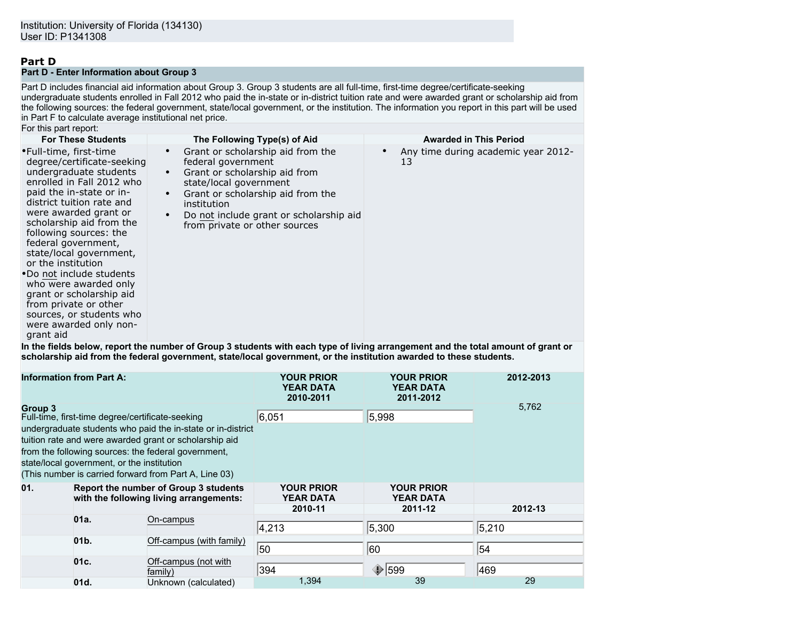# **Part D**

**Part D - Enter Information about Group 3**

Part D includes financial aid information about Group 3. Group 3 students are all full-time, first-time degree/certificate-seeking undergraduate students enrolled in Fall 2012 who paid the in-state or in-district tuition rate and were awarded grant or scholarship aid from the following sources: the federal government, state/local government, or the institution. The information you report in this part will be used in Part F to calculate average institutional net price. For this part report:

| FUI THIS DAIL IGUUIT.                                                                                                                                                                                                                                                                                                                                                                                                                                                                                    |                                                                                                                                                                                                                                                    |                                           |
|----------------------------------------------------------------------------------------------------------------------------------------------------------------------------------------------------------------------------------------------------------------------------------------------------------------------------------------------------------------------------------------------------------------------------------------------------------------------------------------------------------|----------------------------------------------------------------------------------------------------------------------------------------------------------------------------------------------------------------------------------------------------|-------------------------------------------|
| <b>For These Students</b>                                                                                                                                                                                                                                                                                                                                                                                                                                                                                | The Following Type(s) of Aid                                                                                                                                                                                                                       | <b>Awarded in This Period</b>             |
| •Full-time, first-time<br>degree/certificate-seeking<br>undergraduate students<br>enrolled in Fall 2012 who<br>paid the in-state or in-<br>district tuition rate and<br>were awarded grant or<br>scholarship aid from the<br>following sources: the<br>federal government,<br>state/local government,<br>or the institution<br>•Do not include students<br>who were awarded only<br>grant or scholarship aid<br>from private or other<br>sources, or students who<br>were awarded only non-<br>grant aid | Grant or scholarship aid from the<br>federal government<br>Grant or scholarship aid from<br>state/local government<br>Grant or scholarship aid from the<br>institution<br>Do not include grant or scholarship aid<br>from private or other sources | Any time during academic year 2012-<br>13 |

**In the fields below, report the number of Group 3 students with each type of living arrangement and the total amount of grant or scholarship aid from the federal government, state/local government, or the institution awarded to these students.**

| <b>Information from Part A:</b> |                                                                                  |                                                             | <b>YOUR PRIOR</b><br><b>YEAR DATA</b><br>2010-2011 | <b>YOUR PRIOR</b><br><b>YEAR DATA</b><br>2011-2012 | 2012-2013 |
|---------------------------------|----------------------------------------------------------------------------------|-------------------------------------------------------------|----------------------------------------------------|----------------------------------------------------|-----------|
| Group 3                         |                                                                                  |                                                             |                                                    |                                                    | 5,762     |
|                                 |                                                                                  | Full-time, first-time degree/certificate-seeking            | 6,051                                              | 5,998                                              |           |
|                                 |                                                                                  | undergraduate students who paid the in-state or in-district |                                                    |                                                    |           |
|                                 |                                                                                  | tuition rate and were awarded grant or scholarship aid      |                                                    |                                                    |           |
|                                 |                                                                                  | from the following sources: the federal government,         |                                                    |                                                    |           |
|                                 |                                                                                  | state/local government, or the institution                  |                                                    |                                                    |           |
|                                 |                                                                                  | (This number is carried forward from Part A, Line 03)       |                                                    |                                                    |           |
|                                 |                                                                                  |                                                             |                                                    |                                                    |           |
| 01.                             | Report the number of Group 3 students<br>with the following living arrangements: |                                                             | <b>YOUR PRIOR</b><br><b>YEAR DATA</b>              | <b>YOUR PRIOR</b><br><b>YEAR DATA</b>              |           |
|                                 |                                                                                  |                                                             | 2010-11                                            | 2011-12                                            | 2012-13   |
|                                 | 01a.                                                                             | On-campus                                                   |                                                    |                                                    |           |
|                                 |                                                                                  |                                                             | 4,213                                              | 5,300                                              | 5,210     |
|                                 | 01 <sub>b</sub>                                                                  | Off-campus (with family)                                    |                                                    |                                                    |           |
|                                 |                                                                                  |                                                             | 50                                                 | 60                                                 | 54        |
|                                 | 01c.                                                                             | Off-campus (not with                                        |                                                    |                                                    |           |
|                                 |                                                                                  | family)                                                     | 394                                                | ♦ 599                                              | 469       |
|                                 | 01d.                                                                             | Unknown (calculated)                                        | 1,394                                              | 39                                                 | 29        |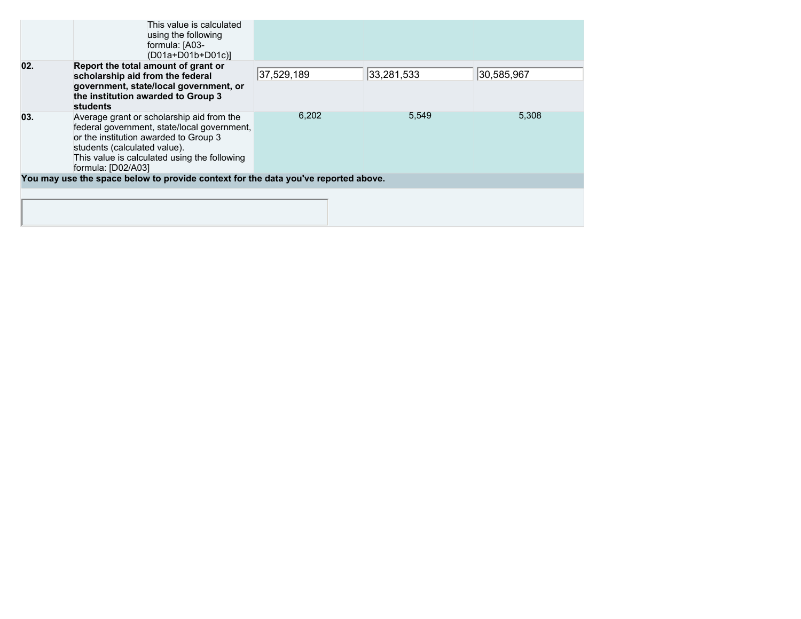|     | This value is calculated<br>using the following<br>formula: [A03-<br>(D01a+D01b+D01c)]                                                                                                                                                  |            |            |            |
|-----|-----------------------------------------------------------------------------------------------------------------------------------------------------------------------------------------------------------------------------------------|------------|------------|------------|
| 02. | Report the total amount of grant or<br>scholarship aid from the federal<br>government, state/local government, or<br>the institution awarded to Group 3<br>students                                                                     | 37,529,189 | 33,281,533 | 30,585,967 |
| 03. | Average grant or scholarship aid from the<br>federal government, state/local government,<br>or the institution awarded to Group 3<br>students (calculated value).<br>This value is calculated using the following<br>formula: [D02/A03] | 6,202      | 5,549      | 5,308      |
|     | You may use the space below to provide context for the data you've reported above.                                                                                                                                                      |            |            |            |
|     |                                                                                                                                                                                                                                         |            |            |            |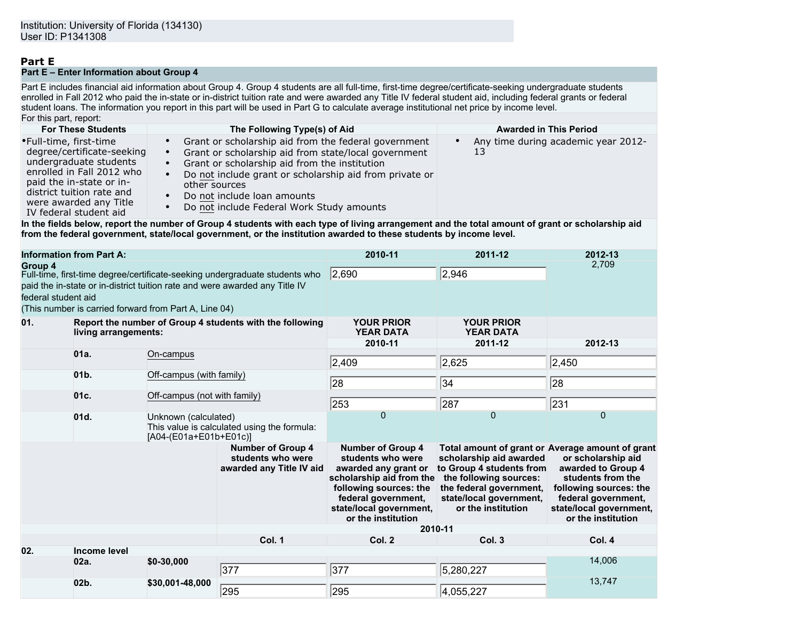# **Part E**

### **Part E – Enter Information about Group 4**

Part E includes financial aid information about Group 4. Group 4 students are all full-time, first-time degree/certificate-seeking undergraduate students enrolled in Fall 2012 who paid the in-state or in-district tuition rate and were awarded any Title IV federal student aid, including federal grants or federal student loans. The information you report in this part will be used in Part G to calculate average institutional net price by income level. For this part, report:

| <b>For These Students</b>                                                                                                                                                                                                | The Following Type(s) of Aid                                                                                                                                                                                                                                                                                                                                 | <b>Awarded in This Period</b>             |
|--------------------------------------------------------------------------------------------------------------------------------------------------------------------------------------------------------------------------|--------------------------------------------------------------------------------------------------------------------------------------------------------------------------------------------------------------------------------------------------------------------------------------------------------------------------------------------------------------|-------------------------------------------|
| •Full-time, first-time<br>degree/certificate-seeking<br>undergraduate students<br>enrolled in Fall 2012 who<br>paid the in-state or in-<br>district tuition rate and<br>were awarded any Title<br>IV federal student aid | Grant or scholarship aid from the federal government<br>Grant or scholarship aid from state/local government<br>Grant or scholarship aid from the institution<br>$\bullet$<br>Do not include grant or scholarship aid from private or<br>$\bullet$<br>other sources<br>Do not include loan amounts<br>Do not include Federal Work Study amounts<br>$\bullet$ | Any time during academic year 2012-<br>13 |

**In the fields below, report the number of Group 4 students with each type of living arrangement and the total amount of grant or scholarship aid from the federal government, state/local government, or the institution awarded to these students by income level.**

|                                | <b>Information from Part A:</b> |                                                       |                                                                                                                                                            | 2010-11                                                                                                                                                                                             | 2011-12                                                                                                                                                                                                       | 2012-13                                                                                                                                                         |
|--------------------------------|---------------------------------|-------------------------------------------------------|------------------------------------------------------------------------------------------------------------------------------------------------------------|-----------------------------------------------------------------------------------------------------------------------------------------------------------------------------------------------------|---------------------------------------------------------------------------------------------------------------------------------------------------------------------------------------------------------------|-----------------------------------------------------------------------------------------------------------------------------------------------------------------|
| Group 4<br>federal student aid |                                 | (This number is carried forward from Part A, Line 04) | Full-time, first-time degree/certificate-seeking undergraduate students who<br>paid the in-state or in-district tuition rate and were awarded any Title IV | 2,690                                                                                                                                                                                               | 2,946                                                                                                                                                                                                         | 2,709                                                                                                                                                           |
| 01.                            | living arrangements:            |                                                       | Report the number of Group 4 students with the following                                                                                                   | <b>YOUR PRIOR</b><br><b>YEAR DATA</b>                                                                                                                                                               | <b>YOUR PRIOR</b><br><b>YEAR DATA</b>                                                                                                                                                                         |                                                                                                                                                                 |
|                                |                                 |                                                       |                                                                                                                                                            | 2010-11                                                                                                                                                                                             | 2011-12                                                                                                                                                                                                       | 2012-13                                                                                                                                                         |
|                                | 01a.                            | On-campus                                             |                                                                                                                                                            | 2,409                                                                                                                                                                                               | 2,625                                                                                                                                                                                                         | 2,450                                                                                                                                                           |
|                                | 01b.                            | Off-campus (with family)                              |                                                                                                                                                            | 28                                                                                                                                                                                                  | 34                                                                                                                                                                                                            | 28                                                                                                                                                              |
|                                | 01c.                            | Off-campus (not with family)                          |                                                                                                                                                            | 253                                                                                                                                                                                                 | 287                                                                                                                                                                                                           | 231                                                                                                                                                             |
|                                | 01d.                            | Unknown (calculated)<br>[A04-(E01a+E01b+E01c)]        | This value is calculated using the formula:                                                                                                                | $\overline{0}$                                                                                                                                                                                      | $\overline{0}$                                                                                                                                                                                                | $\overline{0}$                                                                                                                                                  |
|                                |                                 |                                                       | <b>Number of Group 4</b><br>students who were<br>awarded any Title IV aid                                                                                  | <b>Number of Group 4</b><br>students who were<br>awarded any grant or<br>scholarship aid from the<br>following sources: the<br>federal government,<br>state/local government,<br>or the institution | Total amount of grant or Average amount of grant<br>scholarship aid awarded<br>to Group 4 students from<br>the following sources:<br>the federal government,<br>state/local government,<br>or the institution | or scholarship aid<br>awarded to Group 4<br>students from the<br>following sources: the<br>federal government,<br>state/local government,<br>or the institution |
|                                |                                 |                                                       |                                                                                                                                                            |                                                                                                                                                                                                     | 2010-11                                                                                                                                                                                                       |                                                                                                                                                                 |
|                                |                                 |                                                       | Col. 1                                                                                                                                                     | Col. 2                                                                                                                                                                                              | Col. 3                                                                                                                                                                                                        | Col. 4                                                                                                                                                          |
| 02.                            | Income level                    |                                                       |                                                                                                                                                            |                                                                                                                                                                                                     |                                                                                                                                                                                                               |                                                                                                                                                                 |
|                                | $02a$ .                         | \$0-30,000                                            | 377                                                                                                                                                        | 377                                                                                                                                                                                                 | 5,280,227                                                                                                                                                                                                     | 14,006                                                                                                                                                          |
|                                | 02 <sub>b</sub>                 | \$30,001-48,000                                       |                                                                                                                                                            |                                                                                                                                                                                                     |                                                                                                                                                                                                               | 13,747                                                                                                                                                          |
|                                |                                 |                                                       | 295                                                                                                                                                        | 295                                                                                                                                                                                                 | 4,055,227                                                                                                                                                                                                     |                                                                                                                                                                 |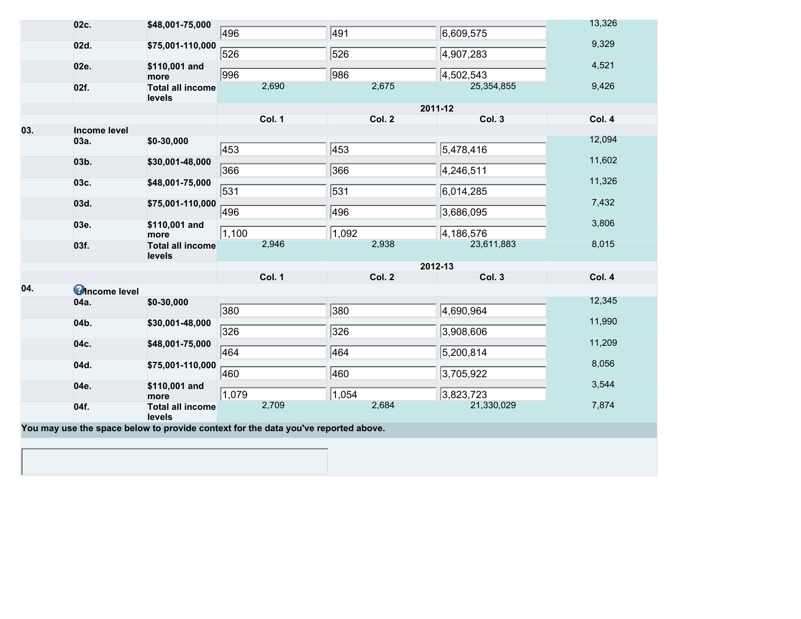|     | 02c.                  | \$48,001-75,000                                                                    |        |                |            | 13,326 |
|-----|-----------------------|------------------------------------------------------------------------------------|--------|----------------|------------|--------|
|     |                       |                                                                                    | 496    | 491            | 6,609,575  |        |
|     | 02d.                  | \$75,001-110,000                                                                   |        | 526            |            | 9,329  |
|     |                       |                                                                                    | 526    |                | 4,907,283  | 4,521  |
|     | 02e.                  | \$110,001 and<br>more                                                              | 996    | 986            | 4,502,543  |        |
|     | 02f.                  | <b>Total all income</b><br>levels                                                  | 2,690  | 2,675          | 25,354,855 | 9,426  |
|     |                       |                                                                                    |        |                | 2011-12    |        |
|     |                       |                                                                                    | Col. 1 | Col. 2         | Col. 3     | Col. 4 |
| 03. | Income level          |                                                                                    |        |                |            |        |
|     | 03a.                  | \$0-30,000                                                                         | 453    | 453            |            | 12,094 |
|     |                       |                                                                                    |        |                | 5,478,416  | 11,602 |
|     | 03b.                  | \$30,001-48,000                                                                    | 366    | 366            | 4,246,511  |        |
|     | 03c.                  | \$48,001-75,000                                                                    |        |                |            | 11,326 |
|     |                       |                                                                                    | 531    | 531            | 6,014,285  |        |
|     | 03d.                  | \$75,001-110,000                                                                   |        |                |            | 7,432  |
|     |                       |                                                                                    | 496    | 496            | 3,686,095  |        |
|     | 03e.                  | \$110,001 and                                                                      | 1,100  |                | 4,186,576  | 3,806  |
|     |                       | more                                                                               | 2,946  | 1,092<br>2,938 | 23,611,883 | 8,015  |
|     | 03f.                  | <b>Total all income</b><br>levels                                                  |        |                |            |        |
|     |                       |                                                                                    |        |                | 2012-13    |        |
|     |                       |                                                                                    | Col. 1 | Col. 2         | Col. 3     | Col. 4 |
| 04. | <b>C</b> Income level |                                                                                    |        |                |            |        |
|     | 04a.                  | \$0-30,000                                                                         | 380    | 380            | 4,690,964  | 12,345 |
|     | 04b.                  | \$30,001-48,000                                                                    |        |                |            | 11,990 |
|     |                       |                                                                                    | 326    | 326            | 3,908,606  |        |
|     | 04c.                  | \$48,001-75,000                                                                    |        |                |            | 11,209 |
|     |                       |                                                                                    | 464    | 464            | 5,200,814  |        |
|     | 04d.                  | \$75,001-110,000                                                                   |        |                |            | 8,056  |
|     |                       |                                                                                    | 460    | 460            | 3,705,922  |        |
|     | 04e.                  | \$110,001 and                                                                      | 1,079  | 1,054          | 3,823,723  | 3,544  |
|     | 04f.                  | more<br><b>Total all income</b>                                                    | 2,709  | 2,684          | 21,330,029 | 7,874  |
|     |                       | levels                                                                             |        |                |            |        |
|     |                       | You may use the space below to provide context for the data you've reported above. |        |                |            |        |
|     |                       |                                                                                    |        |                |            |        |
|     |                       |                                                                                    |        |                |            |        |
|     |                       |                                                                                    |        |                |            |        |
|     |                       |                                                                                    |        |                |            |        |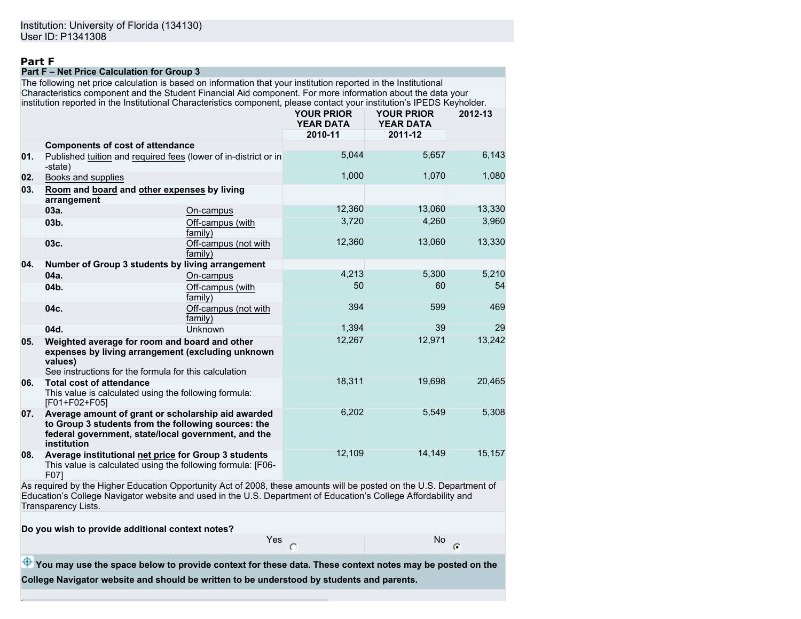# **Part F**

### **Part F – Net Price Calculation for Group 3**

The following net price calculation is based on information that your institution reported in the Institutional Characteristics component and the Student Financial Aid component. For more information about the data your institution reported in the Institutional Characteristics component, please contact your institution's IPEDS Keyholder.

|     |                                                                                                                                                                                 |                                                                 | <b>YOUR PRIOR</b><br><b>YEAR DATA</b> | <b>YOUR PRIOR</b><br><b>YEAR DATA</b> | 2012-13 |
|-----|---------------------------------------------------------------------------------------------------------------------------------------------------------------------------------|-----------------------------------------------------------------|---------------------------------------|---------------------------------------|---------|
|     |                                                                                                                                                                                 |                                                                 | 2010-11                               | 2011-12                               |         |
|     | <b>Components of cost of attendance</b>                                                                                                                                         |                                                                 |                                       |                                       |         |
| 01. | -state)                                                                                                                                                                         | Published tuition and required fees (lower of in-district or in | 5,044                                 | 5,657                                 | 6,143   |
| 02. | Books and supplies                                                                                                                                                              |                                                                 | 1,000                                 | 1,070                                 | 1,080   |
| 03. | Room and board and other expenses by living<br>arrangement                                                                                                                      |                                                                 |                                       |                                       |         |
|     | 03a.                                                                                                                                                                            | On-campus                                                       | 12,360                                | 13,060                                | 13,330  |
|     | 03b.                                                                                                                                                                            | Off-campus (with<br>family)                                     | 3,720                                 | 4,260                                 | 3,960   |
|     | 03c.                                                                                                                                                                            | Off-campus (not with<br>family)                                 | 12,360                                | 13,060                                | 13,330  |
| 04. | Number of Group 3 students by living arrangement                                                                                                                                |                                                                 |                                       |                                       |         |
|     | 04a.                                                                                                                                                                            | On-campus                                                       | 4,213                                 | 5,300                                 | 5,210   |
|     | 04b.                                                                                                                                                                            | Off-campus (with<br>family)                                     | 50                                    | 60                                    | 54      |
|     | 04c.                                                                                                                                                                            | Off-campus (not with<br>family)                                 | 394                                   | 599                                   | 469     |
|     | 04d.                                                                                                                                                                            | <b>Unknown</b>                                                  | 1,394                                 | 39                                    | 29      |
| 05. | Weighted average for room and board and other<br>expenses by living arrangement (excluding unknown<br>values)<br>See instructions for the formula for this calculation          |                                                                 | 12,267                                | 12,971                                | 13,242  |
| 06. | <b>Total cost of attendance</b><br>This value is calculated using the following formula:<br>[F01+F02+F05]                                                                       |                                                                 | 18,311                                | 19,698                                | 20,465  |
| 07. | Average amount of grant or scholarship aid awarded<br>to Group 3 students from the following sources: the<br>federal government, state/local government, and the<br>institution |                                                                 | 6,202                                 | 5,549                                 | 5,308   |
| 08. | Average institutional net price for Group 3 students<br>This value is calculated using the following formula: [F06-<br>F07]                                                     |                                                                 | 12,109                                | 14,149                                | 15,157  |

As required by the Higher Education Opportunity Act of 2008, these amounts will be posted on the U.S. Department of Education's College Navigator website and used in the U.S. Department of Education's College Affordability and Transparency Lists.

**Do you wish to provide additional context notes?**

Yes No  $\bullet$ 

**<sup>4</sup>** You may use the space below to provide context for these data. These context notes may be posted on the

**College Navigator website and should be written to be understood by students and parents.**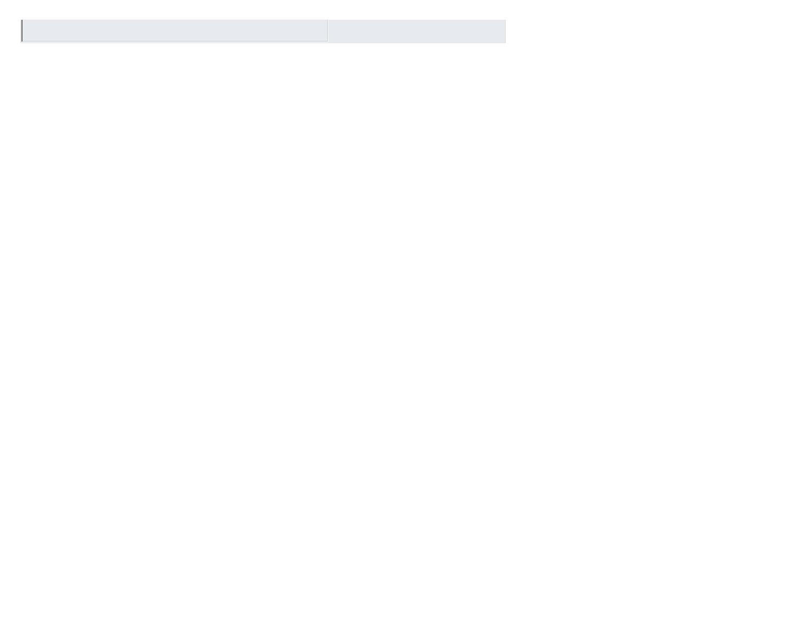$\overline{\phantom{a}}$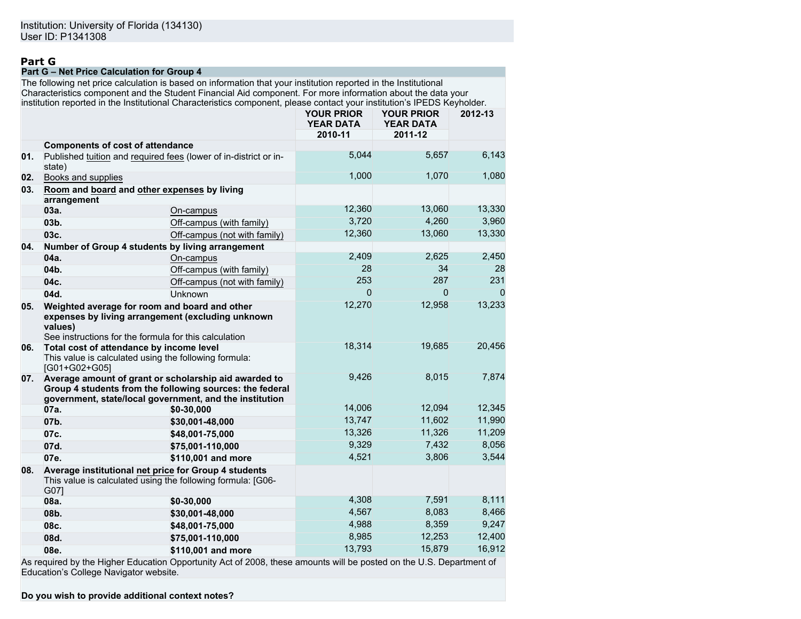# **Part G**

### **Part G – Net Price Calculation for Group 4**

The following net price calculation is based on information that your institution reported in the Institutional Characteristics component and the Student Financial Aid component. For more information about the data your institution reported in the Institutional Characteristics component, please contact your institution's IPEDS Keyholder.

|     |                                                                                                                                                                        |                                                                                                                                                                              | <b>YOUR PRIOR</b><br><b>YEAR DATA</b> | <b>YOUR PRIOR</b><br><b>YEAR DATA</b> | 2012-13  |
|-----|------------------------------------------------------------------------------------------------------------------------------------------------------------------------|------------------------------------------------------------------------------------------------------------------------------------------------------------------------------|---------------------------------------|---------------------------------------|----------|
|     | <b>Components of cost of attendance</b>                                                                                                                                |                                                                                                                                                                              | 2010-11                               | 2011-12                               |          |
| 01. | state)                                                                                                                                                                 | Published tuition and required fees (lower of in-district or in-                                                                                                             | 5,044                                 | 5,657                                 | 6,143    |
| 02. | Books and supplies                                                                                                                                                     |                                                                                                                                                                              | 1,000                                 | 1,070                                 | 1,080    |
| 03. | Room and board and other expenses by living<br>arrangement                                                                                                             |                                                                                                                                                                              |                                       |                                       |          |
|     | 03a.                                                                                                                                                                   | On-campus                                                                                                                                                                    | 12,360                                | 13,060                                | 13,330   |
|     | 03b.                                                                                                                                                                   | Off-campus (with family)                                                                                                                                                     | 3,720                                 | 4,260                                 | 3,960    |
|     | 03c.                                                                                                                                                                   | Off-campus (not with family)                                                                                                                                                 | 12,360                                | 13,060                                | 13,330   |
| 04. | Number of Group 4 students by living arrangement                                                                                                                       |                                                                                                                                                                              |                                       |                                       |          |
|     | 04a.                                                                                                                                                                   | On-campus                                                                                                                                                                    | 2,409                                 | 2,625                                 | 2,450    |
|     | 04b.                                                                                                                                                                   | Off-campus (with family)                                                                                                                                                     | 28                                    | 34                                    | 28       |
|     | 04c.                                                                                                                                                                   | Off-campus (not with family)                                                                                                                                                 | 253                                   | 287                                   | 231      |
|     | 04d.                                                                                                                                                                   | Unknown                                                                                                                                                                      | $\Omega$                              | 0                                     | $\Omega$ |
| 05. | Weighted average for room and board and other<br>expenses by living arrangement (excluding unknown<br>values)<br>See instructions for the formula for this calculation |                                                                                                                                                                              | 12,270                                | 12,958                                | 13,233   |
| 06. | Total cost of attendance by income level<br>This value is calculated using the following formula:<br>[G01+G02+G05]                                                     |                                                                                                                                                                              | 18,314                                | 19,685                                | 20,456   |
| 07. |                                                                                                                                                                        | Average amount of grant or scholarship aid awarded to<br>Group 4 students from the following sources: the federal<br>government, state/local government, and the institution | 9,426                                 | 8,015                                 | 7,874    |
|     | 07a.                                                                                                                                                                   | $$0-30,000$                                                                                                                                                                  | 14,006                                | 12,094                                | 12,345   |
|     | 07b.                                                                                                                                                                   | \$30,001-48,000                                                                                                                                                              | 13,747                                | 11,602                                | 11,990   |
|     | 07c.                                                                                                                                                                   | \$48,001-75,000                                                                                                                                                              | 13,326                                | 11,326                                | 11,209   |
|     | 07d.                                                                                                                                                                   | \$75,001-110,000                                                                                                                                                             | 9,329                                 | 7,432                                 | 8,056    |
|     | 07e.                                                                                                                                                                   | \$110,001 and more                                                                                                                                                           | 4,521                                 | 3,806                                 | 3,544    |
| 08. | Average institutional net price for Group 4 students<br>G07]                                                                                                           | This value is calculated using the following formula: [G06-                                                                                                                  |                                       |                                       |          |
|     | 08a.                                                                                                                                                                   | \$0-30,000                                                                                                                                                                   | 4,308                                 | 7,591                                 | 8,111    |
|     | 08b.                                                                                                                                                                   | \$30,001-48,000                                                                                                                                                              | 4,567                                 | 8,083                                 | 8,466    |
|     | 08c.                                                                                                                                                                   | \$48,001-75,000                                                                                                                                                              | 4,988                                 | 8,359                                 | 9,247    |
|     | 08d.                                                                                                                                                                   | \$75,001-110,000                                                                                                                                                             | 8,985                                 | 12,253                                | 12,400   |
|     | 08e.                                                                                                                                                                   | \$110,001 and more                                                                                                                                                           | 13,793                                | 15,879                                | 16,912   |
|     |                                                                                                                                                                        | As required by the Higher Education Opportunity Act of 2008, these amounts will be posted on the U.S. Department of                                                          |                                       |                                       |          |

Education's College Navigator website.

**Do you wish to provide additional context notes?**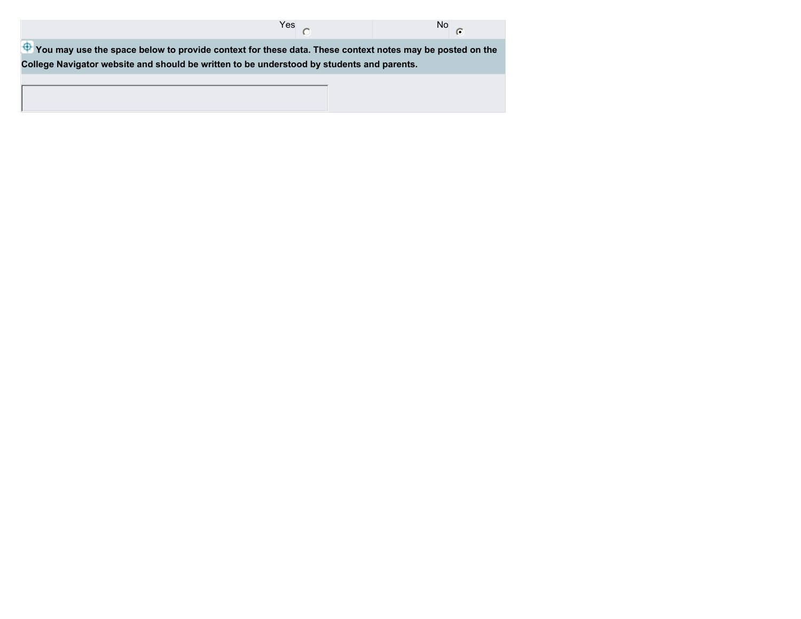|                                                                                                           | Yes | No |
|-----------------------------------------------------------------------------------------------------------|-----|----|
| P You may use the space below to provide context for these data. These context notes may be posted on the |     |    |
| College Navigator website and should be written to be understood by students and parents.                 |     |    |
|                                                                                                           |     |    |
|                                                                                                           |     |    |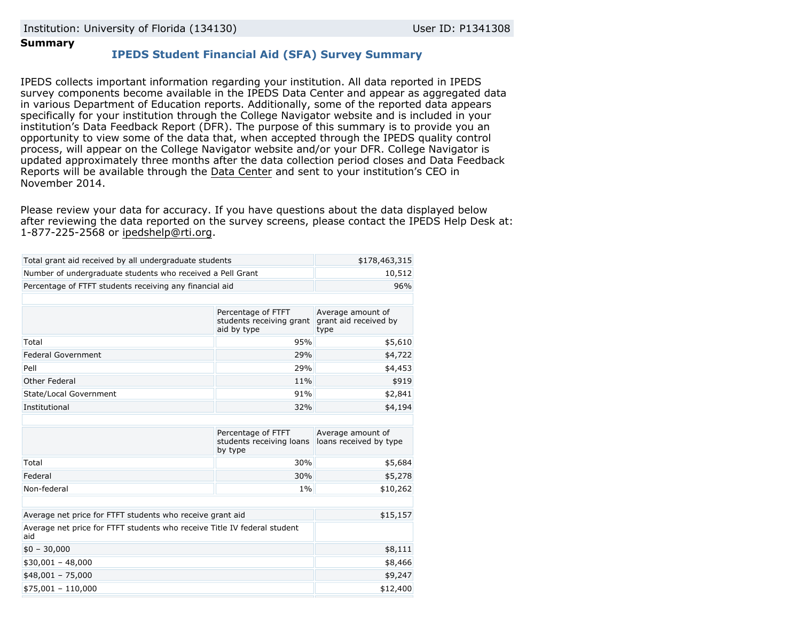Institution: University of Florida (134130) User ID: P1341308

## **Summary**

# **IPEDS Student Financial Aid (SFA) Survey Summary**

IPEDS collects important information regarding your institution. All data reported in IPEDS survey components become available in the IPEDS Data Center and appear as aggregated data in various Department of Education reports. Additionally, some of the reported data appears specifically for your institution through the College Navigator website and is included in your institution's Data Feedback Report (DFR). The purpose of this summary is to provide you an opportunity to view some of the data that, when accepted through the IPEDS quality control process, will appear on the College Navigator website and/or your DFR. College Navigator is updated approximately three months after the data collection period closes and Data Feedback Reports will be available through the [Data Center](http://nces.ed.gov/ipeds/datacenter/) and sent to your institution's CEO in November 2014.

Please review your data for accuracy. If you have questions about the data displayed below after reviewing the data reported on the survey screens, please contact the IPEDS Help Desk at: 1-877-225-2568 or ipedshelp@rti.org.

| Total grant aid received by all undergraduate students                          |                                                               | \$178,463,315                                      |
|---------------------------------------------------------------------------------|---------------------------------------------------------------|----------------------------------------------------|
| Number of undergraduate students who received a Pell Grant                      |                                                               | 10,512                                             |
| Percentage of FTFT students receiving any financial aid                         |                                                               | 96%                                                |
|                                                                                 |                                                               |                                                    |
|                                                                                 | Percentage of FTFT<br>students receiving grant<br>aid by type | Average amount of<br>grant aid received by<br>type |
| Total                                                                           | 95%                                                           | \$5,610                                            |
| <b>Federal Government</b>                                                       | 29%                                                           | \$4,722                                            |
| Pell                                                                            | 29%                                                           | \$4,453                                            |
| Other Federal                                                                   | 11%                                                           | \$919                                              |
| State/Local Government                                                          | 91%                                                           | \$2,841                                            |
| Institutional                                                                   | 32%                                                           | \$4,194                                            |
|                                                                                 |                                                               |                                                    |
|                                                                                 | Percentage of FTFT<br>students receiving loans<br>by type     | Average amount of<br>loans received by type        |
| Total                                                                           | 30%                                                           | \$5,684                                            |
| Federal                                                                         | 30%                                                           | \$5,278                                            |
| Non-federal                                                                     | 1%                                                            | \$10,262                                           |
|                                                                                 |                                                               |                                                    |
| Average net price for FTFT students who receive grant aid                       |                                                               | \$15,157                                           |
| Average net price for FTFT students who receive Title IV federal student<br>aid |                                                               |                                                    |
| $$0 - 30,000$                                                                   |                                                               | \$8,111                                            |
| $$30,001 - 48,000$                                                              |                                                               | \$8,466                                            |
| $$48,001 - 75,000$                                                              |                                                               | \$9,247                                            |
| $$75,001 - 110,000$                                                             | \$12,400                                                      |                                                    |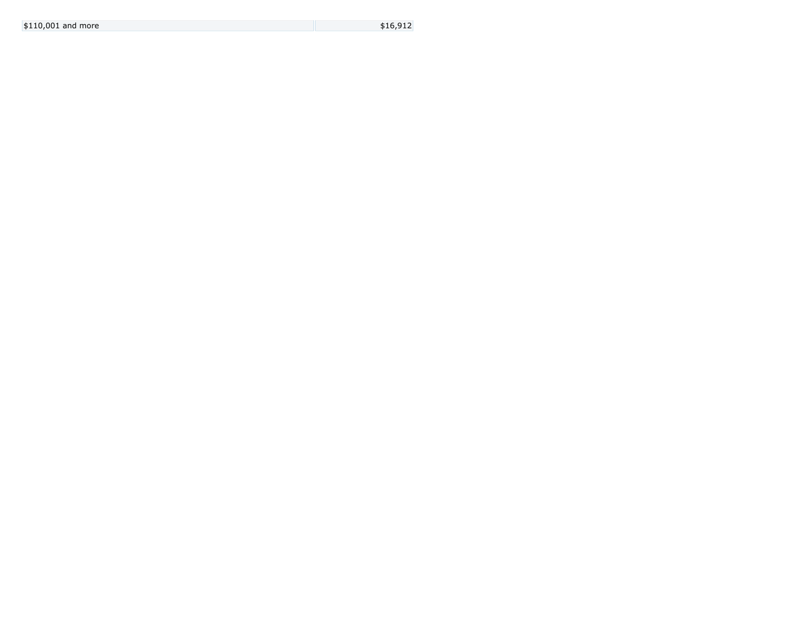| $$110,001$ and more |  |
|---------------------|--|
|---------------------|--|